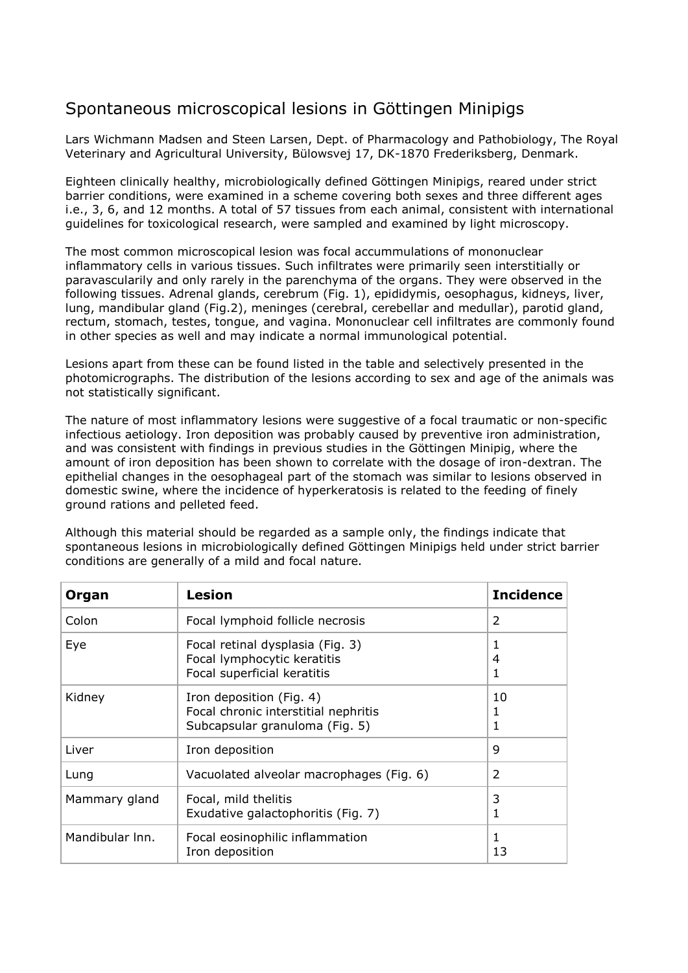## Spontaneous microscopical lesions in Göttingen Minipigs

Lars Wichmann Madsen and Steen Larsen, Dept. of Pharmacology and Pathobiology, The Royal Veterinary and Agricultural University, Bülowsvej 17, DK-1870 Frederiksberg, Denmark.

Eighteen clinically healthy, microbiologically defined Göttingen Minipigs, reared under strict barrier conditions, were examined in a scheme covering both sexes and three different ages i.e., 3, 6, and 12 months. A total of 57 tissues from each animal, consistent with international guidelines for toxicological research, were sampled and examined by light microscopy.

The most common microscopical lesion was focal accummulations of mononuclear inflammatory cells in various tissues. Such infiltrates were primarily seen interstitially or paravascularily and only rarely in the parenchyma of the organs. They were observed in the following tissues. Adrenal glands, cerebrum (Fig. 1), epididymis, oesophagus, kidneys, liver, lung, mandibular gland (Fig.2), meninges (cerebral, cerebellar and medullar), parotid gland, rectum, stomach, testes, tongue, and vagina. Mononuclear cell infiltrates are commonly found in other species as well and may indicate a normal immunological potential.

Lesions apart from these can be found listed in the table and selectively presented in the photomicrographs. The distribution of the lesions according to sex and age of the animals was not statistically significant.

The nature of most inflammatory lesions were suggestive of a focal traumatic or non-specific infectious aetiology. Iron deposition was probably caused by preventive iron administration, and was consistent with findings in previous studies in the Göttingen Minipig, where the amount of iron deposition has been shown to correlate with the dosage of iron-dextran. The epithelial changes in the oesophageal part of the stomach was similar to lesions observed in domestic swine, where the incidence of hyperkeratosis is related to the feeding of finely ground rations and pelleted feed.

Although this material should be regarded as a sample only, the findings indicate that spontaneous lesions in microbiologically defined Göttingen Minipigs held under strict barrier conditions are generally of a mild and focal nature.

| Organ           | <b>Lesion</b>                                                                                      | <b>Incidence</b>         |
|-----------------|----------------------------------------------------------------------------------------------------|--------------------------|
| Colon           | Focal lymphoid follicle necrosis                                                                   | 2                        |
| Eye             | Focal retinal dysplasia (Fig. 3)<br>Focal lymphocytic keratitis<br>Focal superficial keratitis     | 1<br>$\overline{4}$<br>1 |
| Kidney          | Iron deposition (Fig. 4)<br>Focal chronic interstitial nephritis<br>Subcapsular granuloma (Fig. 5) | 10<br>1<br>1             |
| Liver           | Iron deposition                                                                                    | 9                        |
| Lung            | Vacuolated alveolar macrophages (Fig. 6)                                                           | 2                        |
| Mammary gland   | Focal, mild thelitis<br>Exudative galactophoritis (Fig. 7)                                         | 3<br>1                   |
| Mandibular Inn. | Focal eosinophilic inflammation<br>Iron deposition                                                 | 1<br>13                  |